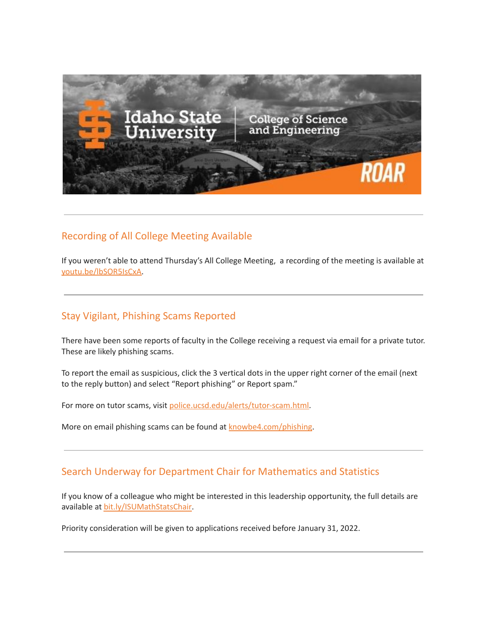

#### Recording of All College Meeting Available

If you weren't able to attend Thursday's All College Meeting, a recording of the meeting is available at [youtu.be/lbSOR5IsCxA.](https://youtu.be/lbSOR5IsCxA)

#### Stay Vigilant, Phishing Scams Reported

There have been some reports of faculty in the College receiving a request via email for a private tutor. These are likely phishing scams.

To report the email as suspicious, click the 3 vertical dots in the upper right corner of the email (next to the reply button) and select "Report phishing" or Report spam."

For more on tutor scams, visit [police.ucsd.edu/alerts/tutor-scam.html.](https://police.ucsd.edu/alerts/tutor-scam.html)

More on email phishing scams can be found at [knowbe4.com/phishing.](https://www.knowbe4.com/phishing)

#### Search Underway for Department Chair for Mathematics and Statistics

If you know of a colleague who might be interested in this leadership opportunity, the full details are available at [bit.ly/ISUMathStatsChair.](https://bit.ly/ISUMathStatsChair)

Priority consideration will be given to applications received before January 31, 2022.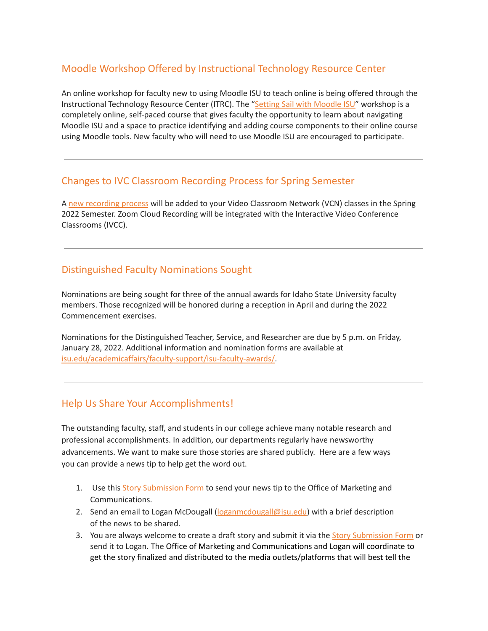## Moodle Workshop Offered by Instructional Technology Resource Center

An online workshop for faculty new to using Moodle ISU to teach online is being offered through the Instructional Technology Resource Center (ITRC). The "Setting Sail with [Moodle](https://docs.google.com/forms/d/e/1FAIpQLSdJFGKro8x5N0mBHd428sq-UX80_jiNsl9wIgBiNYv0_yzlkA/viewform) ISU" workshop is a completely online, self-paced course that gives faculty the opportunity to learn about navigating Moodle ISU and a space to practice identifying and adding course components to their online course using Moodle tools. New faculty who will need to use Moodle ISU are encouraged to participate.

## Changes to IVC Classroom Recording Process for Spring Semester

A new [recording](http://isu.edu/news/2021-fall/changes-with-ivc-classroom-recording-process-for-spring-2022-semester.html) process will be added to your Video Classroom Network (VCN) classes in the Spring 2022 Semester. Zoom Cloud Recording will be integrated with the Interactive Video Conference Classrooms (IVCC).

## Distinguished Faculty Nominations Sought

Nominations are being sought for three of the annual awards for Idaho State University faculty members. Those recognized will be honored during a reception in April and during the 2022 Commencement exercises.

Nominations for the Distinguished Teacher, Service, and Researcher are due by 5 p.m. on Friday, January 28, 2022. Additional information and nomination forms are available at [isu.edu/academicaffairs/faculty-support/isu-faculty-awards/.](https://www.isu.edu/academicaffairs/faculty-support/isu-faculty-awards/)

## Help Us Share Your Accomplishments!

The outstanding faculty, staff, and students in our college achieve many notable research and professional accomplishments. In addition, our departments regularly have newsworthy advancements. We want to make sure those stories are shared publicly. Here are a few ways you can provide a news tip to help get the word out.

- 1. Use this Story [Submission](https://www.isu.edu/news/story-form/) Form to send your news tip to the Office of Marketing and Communications.
- 2. Send an email to Logan McDougall ([loganmcdougall@isu.edu](mailto:loganmcdougall@isu.edu)) with a brief description of the news to be shared.
- 3. You are always welcome to create a draft story and submit it via the Story [Submission](https://www.isu.edu/news/story-form/) Form or send it to Logan. The Office of Marketing and Communications and Logan will coordinate to get the story finalized and distributed to the media outlets/platforms that will best tell the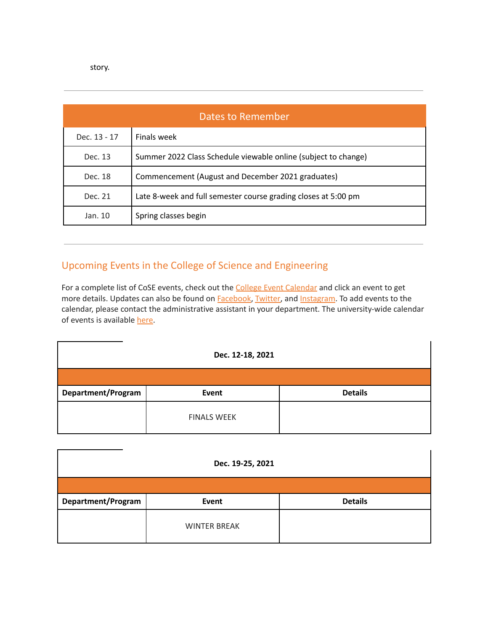story.

| Dates to Remember |                                                                |  |  |
|-------------------|----------------------------------------------------------------|--|--|
| Dec. 13 - 17      | Finals week                                                    |  |  |
| Dec. 13           | Summer 2022 Class Schedule viewable online (subject to change) |  |  |
| Dec. 18           | Commencement (August and December 2021 graduates)              |  |  |
| Dec. 21           | Late 8-week and full semester course grading closes at 5:00 pm |  |  |
| Jan. 10           | Spring classes begin                                           |  |  |

# Upcoming Events in the College of Science and Engineering

For a complete list of CoSE events, check out the **College Event [Calendar](https://isu.edu/cse/calendar/)** and click an event to get more details. Updates can also be found on **[Facebook](https://www.facebook.com/IdahoStateUCoSE)**, [Twitter](https://twitter.com/IdahoStateUCoSE), and [Instagram.](https://www.instagram.com/idahostateucose/) To add events to the calendar, please contact the administrative assistant in your department. The university-wide calendar of events is available [here](https://www.isu.edu/calendar/).

| Dec. 12-18, 2021          |                    |                |  |  |
|---------------------------|--------------------|----------------|--|--|
|                           |                    |                |  |  |
| <b>Department/Program</b> | Event              | <b>Details</b> |  |  |
|                           | <b>FINALS WEEK</b> |                |  |  |

| Dec. 19-25, 2021   |                     |                |  |  |  |
|--------------------|---------------------|----------------|--|--|--|
|                    |                     |                |  |  |  |
| Department/Program | Event               | <b>Details</b> |  |  |  |
|                    | <b>WINTER BREAK</b> |                |  |  |  |